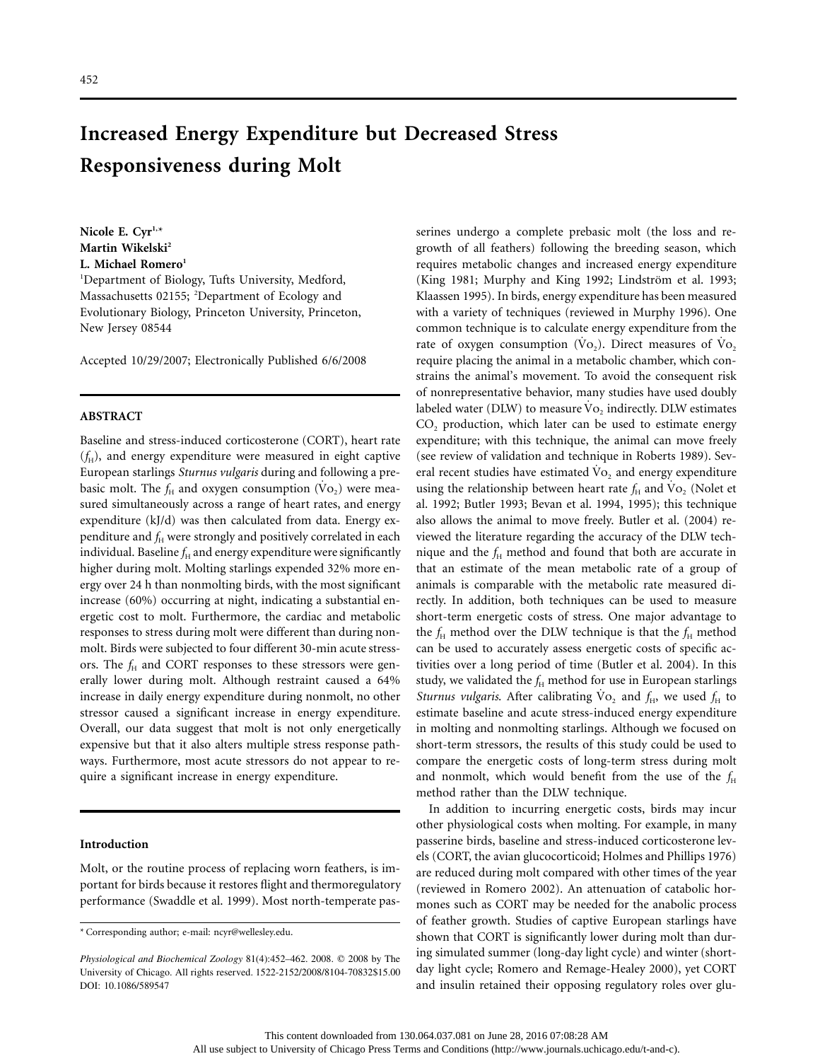# **Increased Energy Expenditure but Decreased Stress Responsiveness during Molt**

Nicole E. Cyr<sup>1,\*</sup> **Martin Wikelski**<sup>2</sup> L. Michael Romero<sup>1</sup>

<sup>1</sup>Department of Biology, Tufts University, Medford, Massachusetts 02155; <sup>2</sup>Department of Ecology and Evolutionary Biology, Princeton University, Princeton, New Jersey 08544

Accepted 10/29/2007; Electronically Published 6/6/2008

#### **ABSTRACT**

Baseline and stress-induced corticosterone (CORT), heart rate  $(f<sub>H</sub>)$ , and energy expenditure were measured in eight captive European starlings *Sturnus vulgaris* during and following a prebasic molt. The  $f_H$  and oxygen consumption ( $\rm Vo_2$ ) were measured simultaneously across a range of heart rates, and energy expenditure (kJ/d) was then calculated from data. Energy expenditure and  $f_H$  were strongly and positively correlated in each individual. Baseline  $f_H$  and energy expenditure were significantly higher during molt. Molting starlings expended 32% more energy over 24 h than nonmolting birds, with the most significant increase (60%) occurring at night, indicating a substantial energetic cost to molt. Furthermore, the cardiac and metabolic responses to stress during molt were different than during nonmolt. Birds were subjected to four different 30-min acute stressors. The *f*<sub>H</sub> and CORT responses to these stressors were generally lower during molt. Although restraint caused a 64% increase in daily energy expenditure during nonmolt, no other stressor caused a significant increase in energy expenditure. Overall, our data suggest that molt is not only energetically expensive but that it also alters multiple stress response pathways. Furthermore, most acute stressors do not appear to require a significant increase in energy expenditure.

## **Introduction**

Molt, or the routine process of replacing worn feathers, is important for birds because it restores flight and thermoregulatory performance (Swaddle et al. 1999). Most north-temperate passerines undergo a complete prebasic molt (the loss and regrowth of all feathers) following the breeding season, which requires metabolic changes and increased energy expenditure (King 1981; Murphy and King 1992; Lindström et al. 1993; Klaassen 1995). In birds, energy expenditure has been measured with a variety of techniques (reviewed in Murphy 1996). One common technique is to calculate energy expenditure from the rate of oxygen consumption ( $\rm Vo_2$ ). Direct measures of  $\rm Vo_2$ require placing the animal in a metabolic chamber, which constrains the animal's movement. To avoid the consequent risk of nonrepresentative behavior, many studies have used doubly labeled water (DLW) to measure  $\overline{Vo}_2$  indirectly. DLW estimates CO<sub>2</sub> production, which later can be used to estimate energy expenditure; with this technique, the animal can move freely (see review of validation and technique in Roberts 1989). Several recent studies have estimated  $\overline{V}$ <sub>2</sub> and energy expenditure using the relationship between heart rate  $f_H$  and  $\mathrm{Vo}_2$  (Nolet et al. 1992; Butler 1993; Bevan et al. 1994, 1995); this technique also allows the animal to move freely. Butler et al. (2004) reviewed the literature regarding the accuracy of the DLW technique and the *f*H method and found that both are accurate in that an estimate of the mean metabolic rate of a group of animals is comparable with the metabolic rate measured directly. In addition, both techniques can be used to measure short-term energetic costs of stress. One major advantage to the  $f_H$  method over the DLW technique is that the  $f_H$  method can be used to accurately assess energetic costs of specific activities over a long period of time (Butler et al. 2004). In this study, we validated the  $f_H$  method for use in European starlings *Sturnus vulgaris*. After calibrating  $\overline{V}o_2$  and  $f_H$ , we used  $f_H$  to estimate baseline and acute stress-induced energy expenditure in molting and nonmolting starlings. Although we focused on short-term stressors, the results of this study could be used to compare the energetic costs of long-term stress during molt and nonmolt, which would benefit from the use of the  $f_H$ method rather than the DLW technique.

In addition to incurring energetic costs, birds may incur other physiological costs when molting. For example, in many passerine birds, baseline and stress-induced corticosterone levels (CORT, the avian glucocorticoid; Holmes and Phillips 1976) are reduced during molt compared with other times of the year (reviewed in Romero 2002). An attenuation of catabolic hormones such as CORT may be needed for the anabolic process of feather growth. Studies of captive European starlings have shown that CORT is significantly lower during molt than during simulated summer (long-day light cycle) and winter (shortday light cycle; Romero and Remage-Healey 2000), yet CORT and insulin retained their opposing regulatory roles over glu-

<sup>\*</sup> Corresponding author; e-mail: ncyr@wellesley.edu.

*Physiological and Biochemical Zoology* 81(4):452-462. 2008. © 2008 by The University of Chicago. All rights reserved. 1522-2152/2008/8104-70832\$15.00 DOI: 10.1086/589547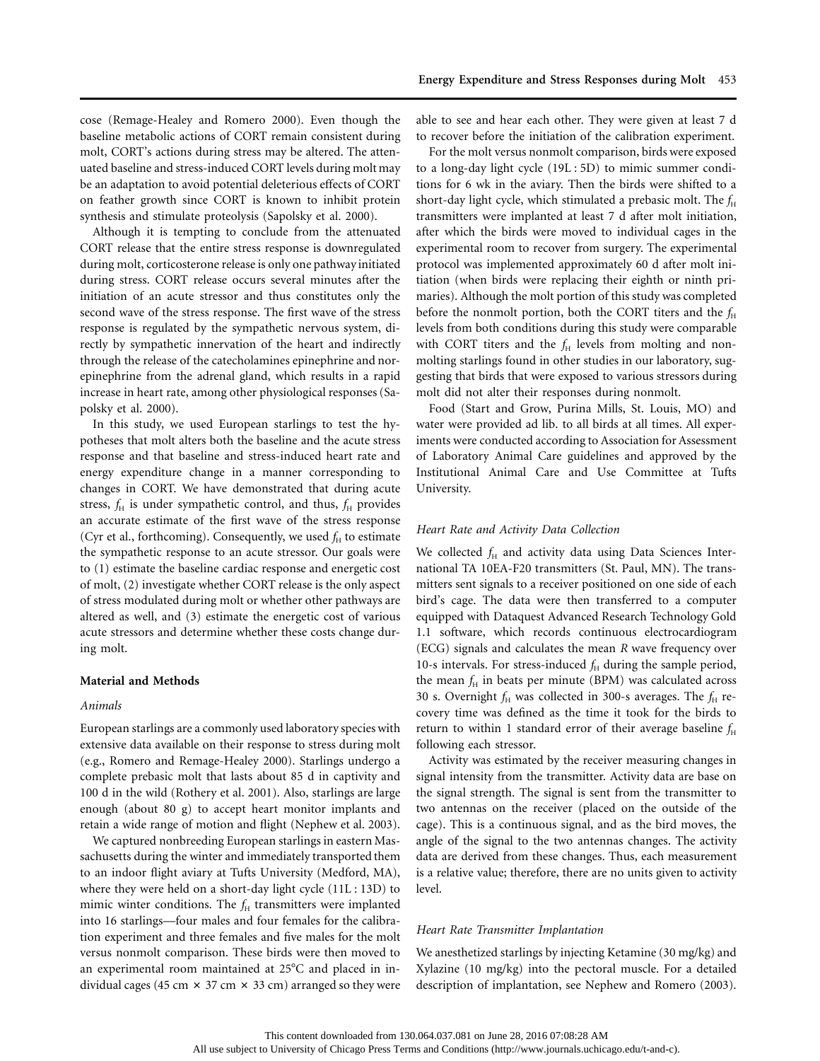cose (Remage-Healey and Romero 2000). Even though the baseline metabolic actions of CORT remain consistent during molt, CORT's actions during stress may be altered. The attenuated baseline and stress-induced CORT levels during molt may be an adaptation to avoid potential deleterious effects of CORT on feather growth since CORT is known to inhibit protein synthesis and stimulate proteolysis (Sapolsky et al. 2000).

Although it is tempting to conclude from the attenuated CORT release that the entire stress response is downregulated during molt, corticosterone release is only one pathway initiated during stress. CORT release occurs several minutes after the initiation of an acute stressor and thus constitutes only the second wave of the stress response. The first wave of the stress response is regulated by the sympathetic nervous system, directly by sympathetic innervation of the heart and indirectly through the release of the catecholamines epinephrine and norepinephrine from the adrenal gland, which results in a rapid increase in heart rate, among other physiological responses (Sapolsky et al. 2000).

In this study, we used European starlings to test the hypotheses that molt alters both the baseline and the acute stress response and that baseline and stress-induced heart rate and energy expenditure change in a manner corresponding to changes in CORT. We have demonstrated that during acute stress,  $f_H$  is under sympathetic control, and thus,  $f_H$  provides an accurate estimate of the first wave of the stress response (Cyr et al., forthcoming). Consequently, we used  $f_H$  to estimate the sympathetic response to an acute stressor. Our goals were to (1) estimate the baseline cardiac response and energetic cost of molt, (2) investigate whether CORT release is the only aspect of stress modulated during molt or whether other pathways are altered as well, and (3) estimate the energetic cost of various acute stressors and determine whether these costs change during molt.

## **Material and Methods**

## *Animals*

European starlings are a commonly used laboratory species with extensive data available on their response to stress during molt (e.g., Romero and Remage-Healey 2000). Starlings undergo a complete prebasic molt that lasts about 85 d in captivity and 100 d in the wild (Rothery et al. 2001). Also, starlings are large enough (about 80 g) to accept heart monitor implants and retain a wide range of motion and flight (Nephew et al. 2003).

We captured nonbreeding European starlings in eastern Massachusetts during the winter and immediately transported them to an indoor flight aviary at Tufts University (Medford, MA), where they were held on a short-day light cycle (11L:13D) to mimic winter conditions. The *f*H transmitters were implanted into 16 starlings—four males and four females for the calibration experiment and three females and five males for the molt versus nonmolt comparison. These birds were then moved to an experimental room maintained at 25°C and placed in individual cages (45 cm  $\times$  37 cm  $\times$  33 cm) arranged so they were

able to see and hear each other. They were given at least 7 d to recover before the initiation of the calibration experiment.

For the molt versus nonmolt comparison, birds were exposed to a long-day light cycle (19L : 5D) to mimic summer conditions for 6 wk in the aviary. Then the birds were shifted to a short-day light cycle, which stimulated a prebasic molt. The  $f_H$ transmitters were implanted at least 7 d after molt initiation, after which the birds were moved to individual cages in the experimental room to recover from surgery. The experimental protocol was implemented approximately 60 d after molt initiation (when birds were replacing their eighth or ninth primaries). Although the molt portion of this study was completed before the nonmolt portion, both the CORT titers and the  $f_H$ levels from both conditions during this study were comparable with CORT titers and the  $f_H$  levels from molting and nonmolting starlings found in other studies in our laboratory, suggesting that birds that were exposed to various stressors during molt did not alter their responses during nonmolt.

Food (Start and Grow, Purina Mills, St. Louis, MO) and water were provided ad lib. to all birds at all times. All experiments were conducted according to Association for Assessment of Laboratory Animal Care guidelines and approved by the Institutional Animal Care and Use Committee at Tufts University.

## *Heart Rate and Activity Data Collection*

We collected  $f_H$  and activity data using Data Sciences International TA 10EA-F20 transmitters (St. Paul, MN). The transmitters sent signals to a receiver positioned on one side of each bird's cage. The data were then transferred to a computer equipped with Dataquest Advanced Research Technology Gold 1.1 software, which records continuous electrocardiogram (ECG) signals and calculates the mean *R* wave frequency over 10-s intervals. For stress-induced  $f_H$  during the sample period, the mean  $f_H$  in beats per minute (BPM) was calculated across 30 s. Overnight  $f_H$  was collected in 300-s averages. The  $f_H$  recovery time was defined as the time it took for the birds to return to within 1 standard error of their average baseline  $f_H$ following each stressor.

Activity was estimated by the receiver measuring changes in signal intensity from the transmitter. Activity data are base on the signal strength. The signal is sent from the transmitter to two antennas on the receiver (placed on the outside of the cage). This is a continuous signal, and as the bird moves, the angle of the signal to the two antennas changes. The activity data are derived from these changes. Thus, each measurement is a relative value; therefore, there are no units given to activity level.

## *Heart Rate Transmitter Implantation*

We anesthetized starlings by injecting Ketamine (30 mg/kg) and Xylazine (10 mg/kg) into the pectoral muscle. For a detailed description of implantation, see Nephew and Romero (2003).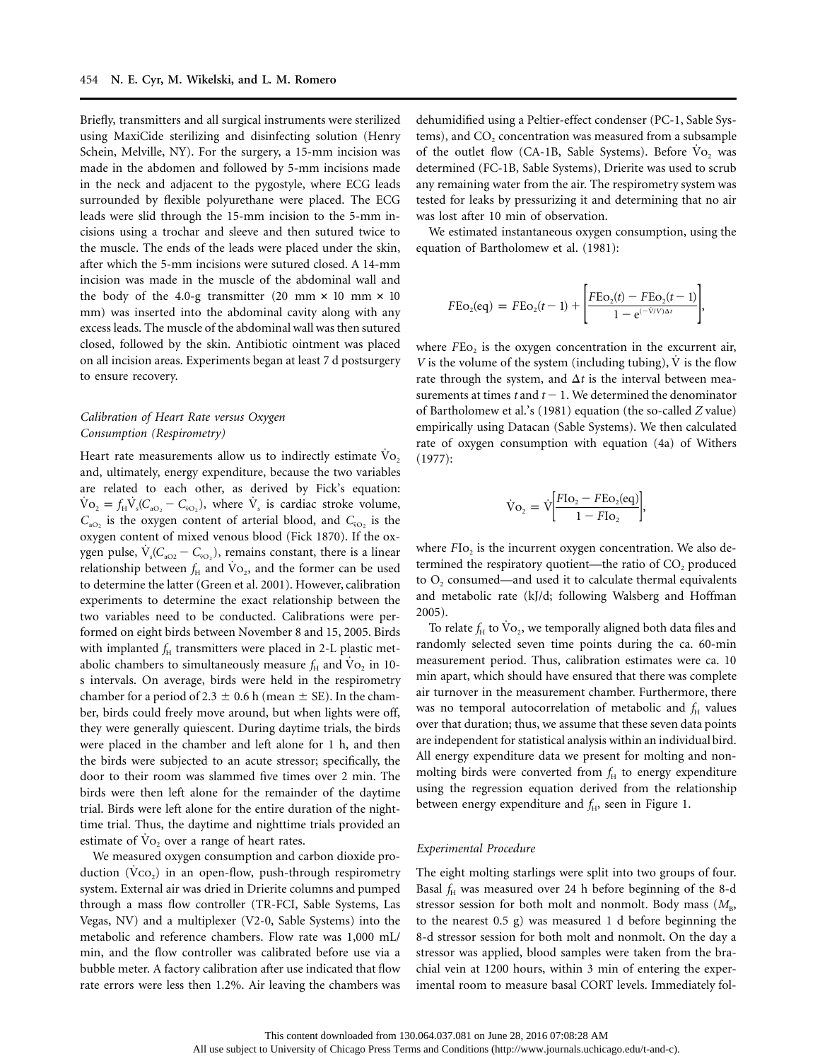Briefly, transmitters and all surgical instruments were sterilized using MaxiCide sterilizing and disinfecting solution (Henry Schein, Melville, NY). For the surgery, a 15-mm incision was made in the abdomen and followed by 5-mm incisions made in the neck and adjacent to the pygostyle, where ECG leads surrounded by flexible polyurethane were placed. The ECG leads were slid through the 15-mm incision to the 5-mm incisions using a trochar and sleeve and then sutured twice to the muscle. The ends of the leads were placed under the skin, after which the 5-mm incisions were sutured closed. A 14-mm incision was made in the muscle of the abdominal wall and the body of the 4.0-g transmitter (20 mm  $\times$  10 mm  $\times$  10 mm) was inserted into the abdominal cavity along with any excess leads. The muscle of the abdominal wall was then sutured closed, followed by the skin. Antibiotic ointment was placed on all incision areas. Experiments began at least 7 d postsurgery to ensure recovery.

# *Calibration of Heart Rate versus Oxygen Consumption (Respirometry)*

Heart rate measurements allow us to indirectly estimate  $\dot{V}$ <sub>O2</sub> and, ultimately, energy expenditure, because the two variables are related to each other, as derived by Fick's equation:  $\text{Vo}_2 = f_H \text{V}_s (C_{aO_2} - C_{\bar{v}O_2})$ , where  $\text{V}_s$  is cardiac stroke volume,  $C_{aO}$  is the oxygen content of arterial blood, and  $C_{\overline{v}O}$  is the oxygen content of mixed venous blood (Fick 1870). If the oxygen pulse,  $V_s$ ( $C_{aO2} - C_{oO2}$ ), remains constant, there is a linear relationship between  $f_H$  and V $o_2$ , and the former can be used to determine the latter (Green et al. 2001). However, calibration experiments to determine the exact relationship between the two variables need to be conducted. Calibrations were performed on eight birds between November 8 and 15, 2005. Birds with implanted  $f_H$  transmitters were placed in 2-L plastic metabolic chambers to simultaneously measure  $f<sub>H</sub>$  and Vo<sub>2</sub> in 10s intervals. On average, birds were held in the respirometry chamber for a period of 2.3  $\pm$  0.6 h (mean  $\pm$  SE). In the chamber, birds could freely move around, but when lights were off, they were generally quiescent. During daytime trials, the birds were placed in the chamber and left alone for 1 h, and then the birds were subjected to an acute stressor; specifically, the door to their room was slammed five times over 2 min. The birds were then left alone for the remainder of the daytime trial. Birds were left alone for the entire duration of the nighttime trial. Thus, the daytime and nighttime trials provided an estimate of  $Vo<sub>2</sub>$  over a range of heart rates.

We measured oxygen consumption and carbon dioxide production  $(Vco<sub>2</sub>)$  in an open-flow, push-through respirometry system. External air was dried in Drierite columns and pumped through a mass flow controller (TR-FCI, Sable Systems, Las Vegas, NV) and a multiplexer (V2-0, Sable Systems) into the metabolic and reference chambers. Flow rate was 1,000 mL/ min, and the flow controller was calibrated before use via a bubble meter. A factory calibration after use indicated that flow rate errors were less then 1.2%. Air leaving the chambers was

dehumidified using a Peltier-effect condenser (PC-1, Sable Systems), and CO<sub>2</sub> concentration was measured from a subsample of the outlet flow (CA-1B, Sable Systems). Before Vo, was determined (FC-1B, Sable Systems), Drierite was used to scrub any remaining water from the air. The respirometry system was tested for leaks by pressurizing it and determining that no air was lost after 10 min of observation.

We estimated instantaneous oxygen consumption, using the equation of Bartholomew et al. (1981):

$$
F\text{Eo}_{2}(eq) = F\text{Eo}_{2}(t-1) + \left[\frac{F\text{Eo}_{2}(t) - F\text{Eo}_{2}(t-1)}{1 - e^{(-\text{V/V})\Delta t}}\right],
$$

where  $FEO$ , is the oxygen concentration in the excurrent air, *V* is the volume of the system (including tubing),  $\overline{V}$  is the flow rate through the system, and  $\Delta t$  is the interval between measurements at times  $t$  and  $t - 1$ . We determined the denominator of Bartholomew et al.'s (1981) equation (the so-called *Z* value) empirically using Datacan (Sable Systems). We then calculated rate of oxygen consumption with equation (4a) of Withers (1977):

$$
\dot{\mathrm{V}}_{\mathrm{O}_2} = \dot{\mathrm{V}} \left[ \frac{F \mathrm{I}_{\mathrm{O}_2} - F \mathrm{E}_{\mathrm{O}_2}(\mathrm{eq})}{1 - F \mathrm{I}_{\mathrm{O}_2}} \right],
$$

where  $FIO<sub>2</sub>$  is the incurrent oxygen concentration. We also determined the respiratory quotient—the ratio of  $CO<sub>2</sub>$  produced to  $O<sub>2</sub>$  consumed—and used it to calculate thermal equivalents and metabolic rate (kJ/d; following Walsberg and Hoffman 2005).

To relate  $f_H$  to  $Vo_2$ , we temporally aligned both data files and randomly selected seven time points during the ca. 60-min measurement period. Thus, calibration estimates were ca. 10 min apart, which should have ensured that there was complete air turnover in the measurement chamber. Furthermore, there was no temporal autocorrelation of metabolic and  $f_H$  values over that duration; thus, we assume that these seven data points are independent for statistical analysis within an individual bird. All energy expenditure data we present for molting and nonmolting birds were converted from  $f_H$  to energy expenditure using the regression equation derived from the relationship between energy expenditure and  $f_H$ , seen in Figure 1.

## *Experimental Procedure*

The eight molting starlings were split into two groups of four. Basal  $f_H$  was measured over 24 h before beginning of the 8-d stressor session for both molt and nonmolt. Body mass ( $M_B$ , to the nearest 0.5 g) was measured 1 d before beginning the 8-d stressor session for both molt and nonmolt. On the day a stressor was applied, blood samples were taken from the brachial vein at 1200 hours, within 3 min of entering the experimental room to measure basal CORT levels. Immediately fol-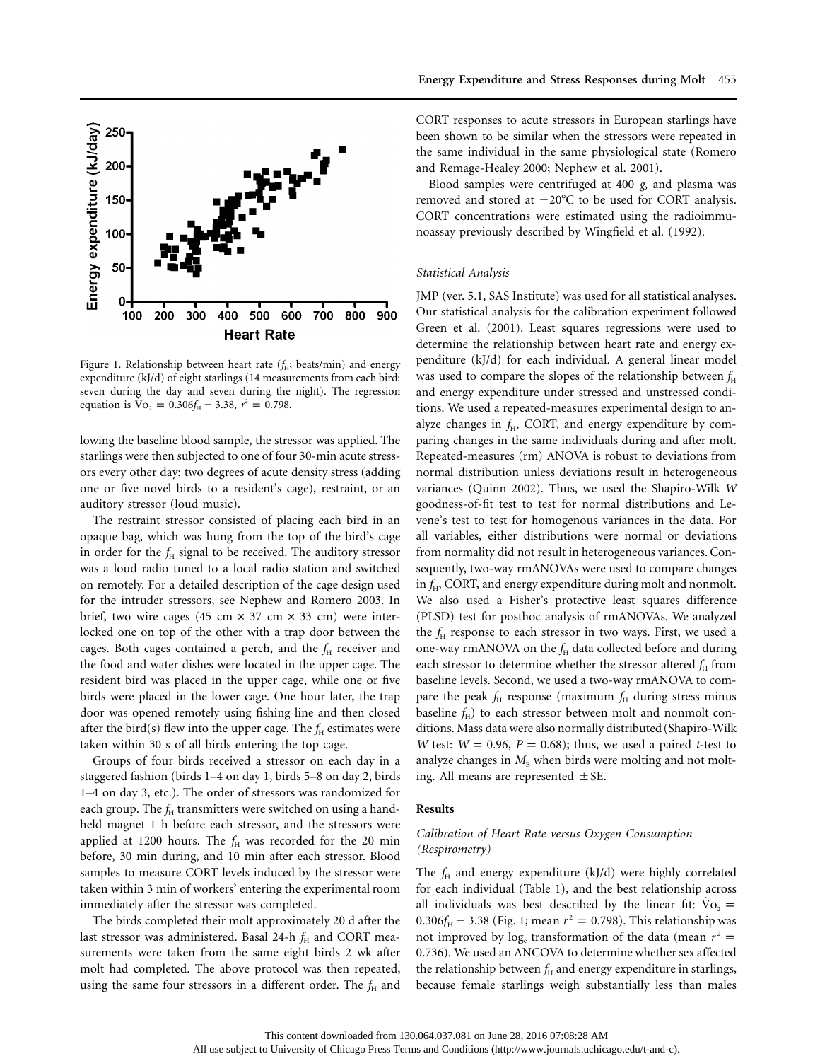

Figure 1. Relationship between heart rate ( $f_H$ ; beats/min) and energy expenditure (kJ/d) of eight starlings (14 measurements from each bird: seven during the day and seven during the night). The regression equation is  $\bar{V}_{O_2} = 0.306f_H - 3.38$ ,  $r^2 = 0.798$ .

lowing the baseline blood sample, the stressor was applied. The starlings were then subjected to one of four 30-min acute stressors every other day: two degrees of acute density stress (adding one or five novel birds to a resident's cage), restraint, or an auditory stressor (loud music).

The restraint stressor consisted of placing each bird in an opaque bag, which was hung from the top of the bird's cage in order for the  $f_H$  signal to be received. The auditory stressor was a loud radio tuned to a local radio station and switched on remotely. For a detailed description of the cage design used for the intruder stressors, see Nephew and Romero 2003. In brief, two wire cages (45 cm  $\times$  37 cm  $\times$  33 cm) were interlocked one on top of the other with a trap door between the cages. Both cages contained a perch, and the  $f_{\rm H}$  receiver and the food and water dishes were located in the upper cage. The resident bird was placed in the upper cage, while one or five birds were placed in the lower cage. One hour later, the trap door was opened remotely using fishing line and then closed after the bird(s) flew into the upper cage. The  $f_H$  estimates were taken within 30 s of all birds entering the top cage.

Groups of four birds received a stressor on each day in a staggered fashion (birds 1–4 on day 1, birds 5–8 on day 2, birds 1–4 on day 3, etc.). The order of stressors was randomized for each group. The  $f_H$  transmitters were switched on using a handheld magnet 1 h before each stressor, and the stressors were applied at 1200 hours. The  $f_H$  was recorded for the 20 min before, 30 min during, and 10 min after each stressor. Blood samples to measure CORT levels induced by the stressor were taken within 3 min of workers' entering the experimental room immediately after the stressor was completed.

The birds completed their molt approximately 20 d after the last stressor was administered. Basal 24-h  $f_H$  and CORT measurements were taken from the same eight birds 2 wk after molt had completed. The above protocol was then repeated, using the same four stressors in a different order. The *f*H and

CORT responses to acute stressors in European starlings have been shown to be similar when the stressors were repeated in the same individual in the same physiological state (Romero and Remage-Healey 2000; Nephew et al. 2001).

Blood samples were centrifuged at 400 *g*, and plasma was removed and stored at  $-20^{\circ}$ C to be used for CORT analysis. CORT concentrations were estimated using the radioimmunoassay previously described by Wingfield et al. (1992).

## *Statistical Analysis*

JMP (ver. 5.1, SAS Institute) was used for all statistical analyses. Our statistical analysis for the calibration experiment followed Green et al. (2001). Least squares regressions were used to determine the relationship between heart rate and energy expenditure (kJ/d) for each individual. A general linear model was used to compare the slopes of the relationship between  $f_H$ and energy expenditure under stressed and unstressed conditions. We used a repeated-measures experimental design to analyze changes in  $f_H$ , CORT, and energy expenditure by comparing changes in the same individuals during and after molt. Repeated-measures (rm) ANOVA is robust to deviations from normal distribution unless deviations result in heterogeneous variances (Quinn 2002). Thus, we used the Shapiro-Wilk *W* goodness-of-fit test to test for normal distributions and Levene's test to test for homogenous variances in the data. For all variables, either distributions were normal or deviations from normality did not result in heterogeneous variances. Consequently, two-way rmANOVAs were used to compare changes in  $f_H$ , CORT, and energy expenditure during molt and nonmolt. We also used a Fisher's protective least squares difference (PLSD) test for posthoc analysis of rmANOVAs. We analyzed the *f*<sub>H</sub> response to each stressor in two ways. First, we used a one-way rmANOVA on the *f*<sub>H</sub> data collected before and during each stressor to determine whether the stressor altered  $f_H$  from baseline levels. Second, we used a two-way rmANOVA to compare the peak  $f_H$  response (maximum  $f_H$  during stress minus baseline  $f_{\rm H}$ ) to each stressor between molt and nonmolt conditions. Mass data were also normally distributed (Shapiro-Wilk *W* test:  $W = 0.96$ ,  $P = 0.68$ ; thus, we used a paired *t*-test to analyze changes in  $M<sub>B</sub>$  when birds were molting and not molting. All means are represented  $\pm$  SE.

## **Results**

# *Calibration of Heart Rate versus Oxygen Consumption (Respirometry)*

The  $f_H$  and energy expenditure (kJ/d) were highly correlated for each individual (Table 1), and the best relationship across all individuals was best described by the linear fit:  $\dot{V}o_2 =$  $0.306f_H - 3.38$  (Fig. 1; mean  $r^2 = 0.798$ ). This relationship was not improved by log, transformation of the data (mean  $r^2$  = 0.736). We used an ANCOVA to determine whether sex affected the relationship between  $f_H$  and energy expenditure in starlings, because female starlings weigh substantially less than males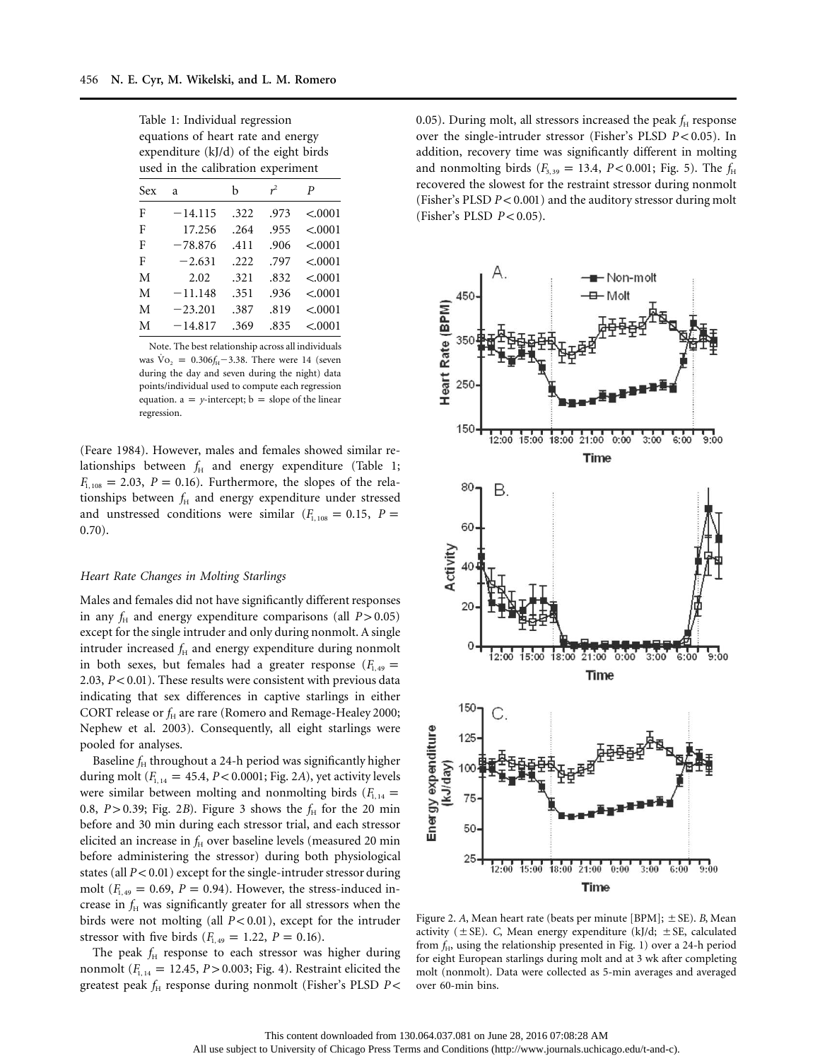| Table 1: Individual regression          |   |       |  |  |  |  |
|-----------------------------------------|---|-------|--|--|--|--|
| equations of heart rate and energy      |   |       |  |  |  |  |
| expenditure $(kJ/d)$ of the eight birds |   |       |  |  |  |  |
| used in the calibration experiment      |   |       |  |  |  |  |
| Sex                                     | Ь | $r^2$ |  |  |  |  |

| Sex | a         | b    | $r^2$ | P       |
|-----|-----------|------|-------|---------|
| F   | $-14.115$ | .322 | .973  | < .0001 |
| F   | 17.256    | .264 | .955  | < .0001 |
| F   | $-78.876$ | .411 | .906  | < .0001 |
| F   | $-2.631$  | .222 | .797  | < .0001 |
| M   | 2.02      | .321 | .832  | < .0001 |
| M   | $-11.148$ | .351 | .936  | < .0001 |
| M   | $-23.201$ | .387 | .819  | < .0001 |
| M   | $-14.817$ | .369 | .835  | < .0001 |

Note. The best relationship across all individuals was  $\dot{V}$ <sub>2</sub> = 0.306*f*<sub>H</sub> - 3.38. There were 14 (seven during the day and seven during the night) data points/individual used to compute each regression equation.  $a = y$ -intercept;  $b = slope of the linear$ regression.

(Feare 1984). However, males and females showed similar relationships between  $f_H$  and energy expenditure (Table 1;  $F_{1,108} = 2.03$ ,  $P = 0.16$ ). Furthermore, the slopes of the relationships between  $f_H$  and energy expenditure under stressed and unstressed conditions were similar  $(F_{1,108} = 0.15, P =$ 0.70).

## *Heart Rate Changes in Molting Starlings*

Males and females did not have significantly different responses in any  $f_H$  and energy expenditure comparisons (all  $P > 0.05$ ) except for the single intruder and only during nonmolt. A single intruder increased  $f_H$  and energy expenditure during nonmolt in both sexes, but females had a greater response  $(F_{1,49} =$ 2.03,  $P < 0.01$ ). These results were consistent with previous data indicating that sex differences in captive starlings in either CORT release or  $f_H$  are rare (Romero and Remage-Healey 2000; Nephew et al. 2003). Consequently, all eight starlings were pooled for analyses.

Baseline  $f_H$  throughout a 24-h period was significantly higher during molt ( $F_{1,14} = 45.4$ ,  $P < 0.0001$ ; Fig. 2A), yet activity levels were similar between molting and nonmolting birds  $(F_{1,14} =$ 0.8,  $P > 0.39$ ; Fig. 2*B*). Figure 3 shows the  $f_H$  for the 20 min before and 30 min during each stressor trial, and each stressor elicited an increase in  $f_H$  over baseline levels (measured 20 min before administering the stressor) during both physiological states (all  $P < 0.01$ ) except for the single-intruder stressor during molt ( $F_{1,49} = 0.69$ ,  $P = 0.94$ ). However, the stress-induced increase in  $f_H$  was significantly greater for all stressors when the birds were not molting (all  $P < 0.01$ ), except for the intruder stressor with five birds  $(F_{1,49} = 1.22, P = 0.16)$ .

The peak  $f_{\rm H}$  response to each stressor was higher during nonmolt ( $F_{1,14} = 12.45$ ,  $P > 0.003$ ; Fig. 4). Restraint elicited the greatest peak  $f_H$  response during nonmolt (Fisher's PLSD  $P$ < 0.05). During molt, all stressors increased the peak  $f_{\rm H}$  response over the single-intruder stressor (Fisher's PLSD  $P < 0.05$ ). In addition, recovery time was significantly different in molting and nonmolting birds  $(F_{3,39} = 13.4, P < 0.001;$  Fig. 5). The  $f_{\rm H}$ recovered the slowest for the restraint stressor during nonmolt (Fisher's PLSD  $P < 0.001$ ) and the auditory stressor during molt (Fisher's PLSD  $P < 0.05$ ).



Figure 2. A, Mean heart rate (beats per minute [BPM];  $\pm$  SE). *B*, Mean activity ( $\pm$ SE). *C*, Mean energy expenditure (kJ/d;  $\pm$ SE, calculated from  $f_H$ , using the relationship presented in Fig. 1) over a 24-h period for eight European starlings during molt and at 3 wk after completing molt (nonmolt). Data were collected as 5-min averages and averaged over 60-min bins.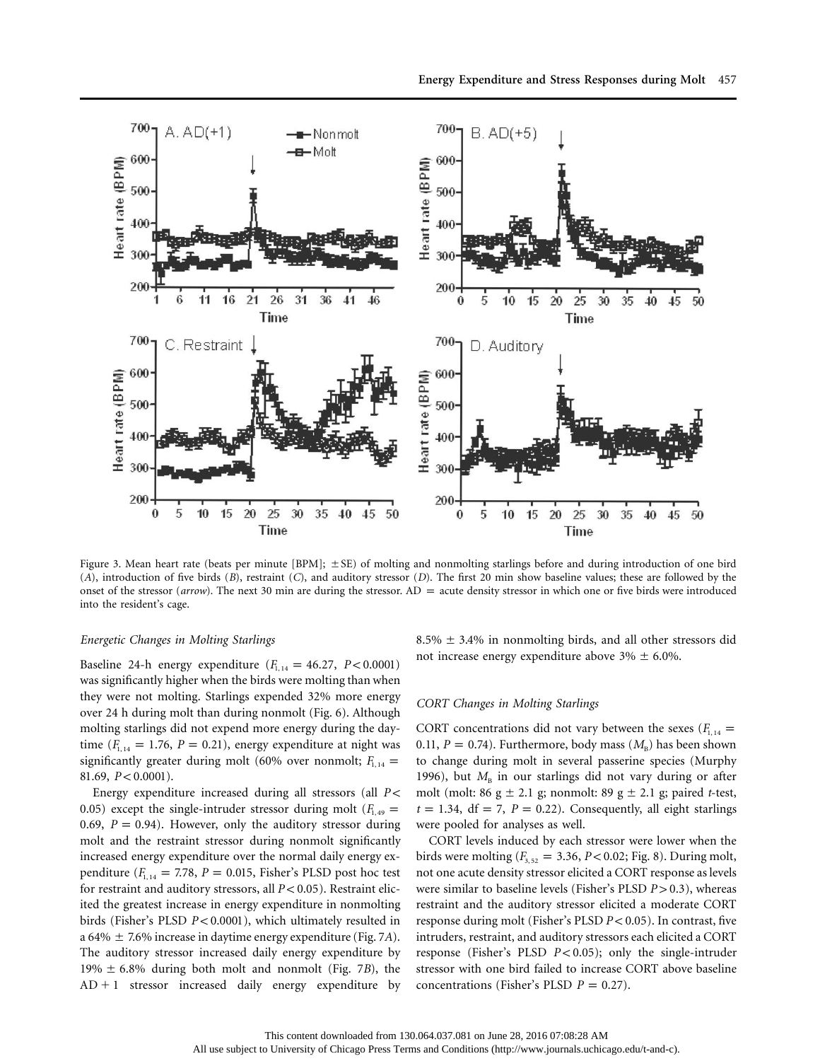

Figure 3. Mean heart rate (beats per minute [BPM];  $\pm$  SE) of molting and nonmolting starlings before and during introduction of one bird (*A*), introduction of five birds (*B*), restraint (*C*), and auditory stressor (*D*). The first 20 min show baseline values; these are followed by the onset of the stressor ( $arrow$ ). The next 30 min are during the stressor.  $AD =$  acute density stressor in which one or five birds were introduced into the resident's cage.

# *Energetic Changes in Molting Starlings*

Baseline 24-h energy expenditure  $(F_{1,14} = 46.27, P < 0.0001)$ was significantly higher when the birds were molting than when they were not molting. Starlings expended 32% more energy over 24 h during molt than during nonmolt (Fig. 6). Although molting starlings did not expend more energy during the daytime  $(F_{1,14} = 1.76, P = 0.21)$ , energy expenditure at night was significantly greater during molt (60% over nonmolt;  $F_{1,14}$  =  $81.69, P < 0.0001$ ).

Energy expenditure increased during all stressors (all *P* < 0.05) except the single-intruder stressor during molt  $(F<sub>1,49</sub> =$ 0.69,  $P = 0.94$ ). However, only the auditory stressor during molt and the restraint stressor during nonmolt significantly increased energy expenditure over the normal daily energy expenditure  $(F_{1, 14} = 7.78, P = 0.015,$  Fisher's PLSD post hoc test for restraint and auditory stressors, all  $P < 0.05$ ). Restraint elicited the greatest increase in energy expenditure in nonmolting birds (Fisher's PLSD  $P < 0.0001$ ), which ultimately resulted in a  $64\% \pm 7.6\%$  *increase in daytime energy expenditure (Fig. 7A).* The auditory stressor increased daily energy expenditure by 19%  $\pm$  6.8% during both molt and nonmolt (Fig. 7*B*), the  $AD + 1$  stressor increased daily energy expenditure by

 $8.5\% \pm 3.4\%$  in nonmolting birds, and all other stressors did not increase energy expenditure above  $3\% \pm 6.0\%$ .

#### *CORT Changes in Molting Starlings*

CORT concentrations did not vary between the sexes  $(F<sub>1,14</sub> =$ 0.11,  $P = 0.74$ ). Furthermore, body mass ( $M_B$ ) has been shown to change during molt in several passerine species (Murphy 1996), but  $M_{\rm B}$  in our starlings did not vary during or after molt (molt: 86 g  $\pm$  2.1 g; nonmolt: 89 g  $\pm$  2.1 g; paired *t*-test,  $t = 1.34$ ,  $df = 7$ ,  $P = 0.22$ ). Consequently, all eight starlings were pooled for analyses as well.

CORT levels induced by each stressor were lower when the birds were molting  $(F_{3.52} = 3.36, P < 0.02;$  Fig. 8). During molt, not one acute density stressor elicited a CORT response as levels were similar to baseline levels (Fisher's PLSD  $P > 0.3$ ), whereas restraint and the auditory stressor elicited a moderate CORT response during molt (Fisher's PLSD  $P$  < 0.05). In contrast, five intruders, restraint, and auditory stressors each elicited a CORT response (Fisher's PLSD  $P < 0.05$ ); only the single-intruder stressor with one bird failed to increase CORT above baseline concentrations (Fisher's PLSD  $P = 0.27$ ).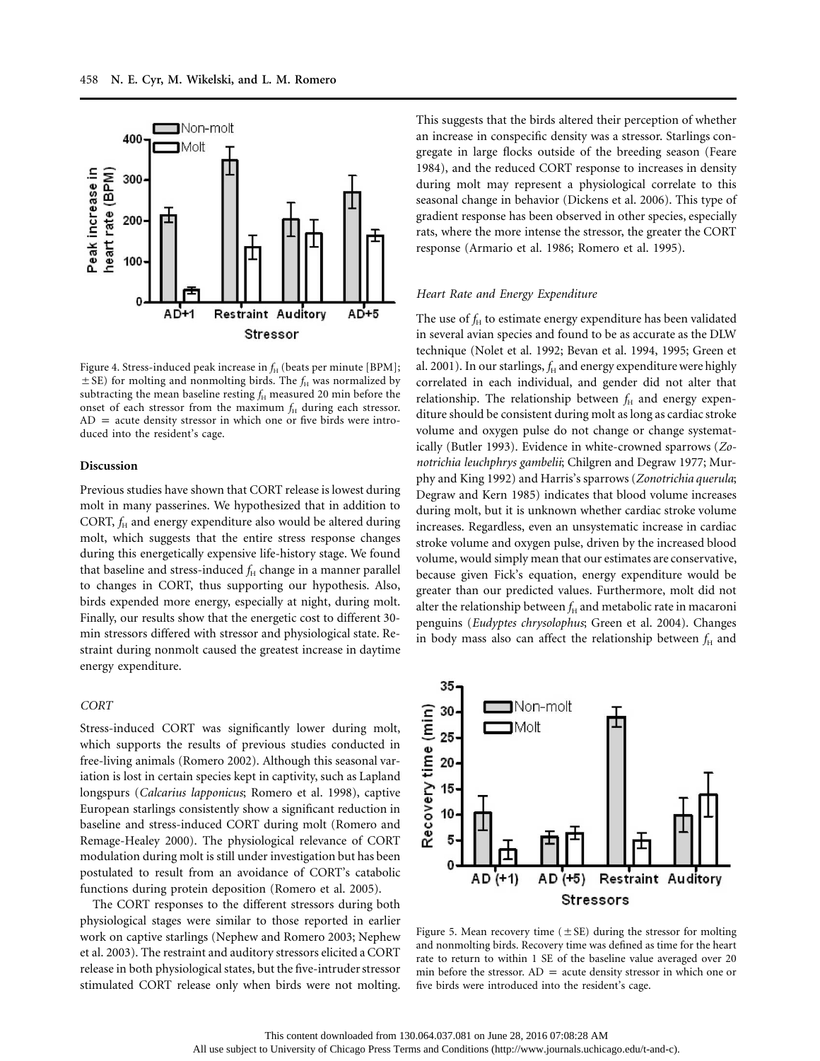

Figure 4. Stress-induced peak increase in  $f_H$  (beats per minute [BPM];  $\pm$  SE) for molting and nonmolting birds. The  $f_H$  was normalized by subtracting the mean baseline resting  $f_H$  measured 20 min before the onset of each stressor from the maximum  $f_H$  during each stressor.  $AD =$  acute density stressor in which one or five birds were introduced into the resident's cage.

## **Discussion**

Previous studies have shown that CORT release is lowest during molt in many passerines. We hypothesized that in addition to CORT,  $f_H$  and energy expenditure also would be altered during molt, which suggests that the entire stress response changes during this energetically expensive life-history stage. We found that baseline and stress-induced  $f_H$  change in a manner parallel to changes in CORT, thus supporting our hypothesis. Also, birds expended more energy, especially at night, during molt. Finally, our results show that the energetic cost to different 30 min stressors differed with stressor and physiological state. Restraint during nonmolt caused the greatest increase in daytime energy expenditure.

# *CORT*

Stress-induced CORT was significantly lower during molt, which supports the results of previous studies conducted in free-living animals (Romero 2002). Although this seasonal variation is lost in certain species kept in captivity, such as Lapland longspurs (*Calcarius lapponicus*; Romero et al. 1998), captive European starlings consistently show a significant reduction in baseline and stress-induced CORT during molt (Romero and Remage-Healey 2000). The physiological relevance of CORT modulation during molt is still under investigation but has been postulated to result from an avoidance of CORT's catabolic functions during protein deposition (Romero et al. 2005).

The CORT responses to the different stressors during both physiological stages were similar to those reported in earlier work on captive starlings (Nephew and Romero 2003; Nephew et al. 2003). The restraint and auditory stressors elicited a CORT release in both physiological states, but the five-intruder stressor stimulated CORT release only when birds were not molting.

This suggests that the birds altered their perception of whether an increase in conspecific density was a stressor. Starlings congregate in large flocks outside of the breeding season (Feare 1984), and the reduced CORT response to increases in density during molt may represent a physiological correlate to this seasonal change in behavior (Dickens et al. 2006). This type of gradient response has been observed in other species, especially rats, where the more intense the stressor, the greater the CORT response (Armario et al. 1986; Romero et al. 1995).

# *Heart Rate and Energy Expenditure*

The use of  $f_H$  to estimate energy expenditure has been validated in several avian species and found to be as accurate as the DLW technique (Nolet et al. 1992; Bevan et al. 1994, 1995; Green et al. 2001). In our starlings,  $f_H$  and energy expenditure were highly correlated in each individual, and gender did not alter that relationship. The relationship between  $f<sub>H</sub>$  and energy expenditure should be consistent during molt as long as cardiac stroke volume and oxygen pulse do not change or change systematically (Butler 1993). Evidence in white-crowned sparrows (*Zonotrichia leuchphrys gambelii*; Chilgren and Degraw 1977; Murphy and King 1992) and Harris's sparrows (*Zonotrichia querula*; Degraw and Kern 1985) indicates that blood volume increases during molt, but it is unknown whether cardiac stroke volume increases. Regardless, even an unsystematic increase in cardiac stroke volume and oxygen pulse, driven by the increased blood volume, would simply mean that our estimates are conservative, because given Fick's equation, energy expenditure would be greater than our predicted values. Furthermore, molt did not alter the relationship between  $f_H$  and metabolic rate in macaroni penguins (*Eudyptes chrysolophus*; Green et al. 2004). Changes in body mass also can affect the relationship between  $f_H$  and



Figure 5. Mean recovery time ( $\pm$  SE) during the stressor for molting and nonmolting birds. Recovery time was defined as time for the heart rate to return to within 1 SE of the baseline value averaged over 20 min before the stressor.  $AD =$  acute density stressor in which one or five birds were introduced into the resident's cage.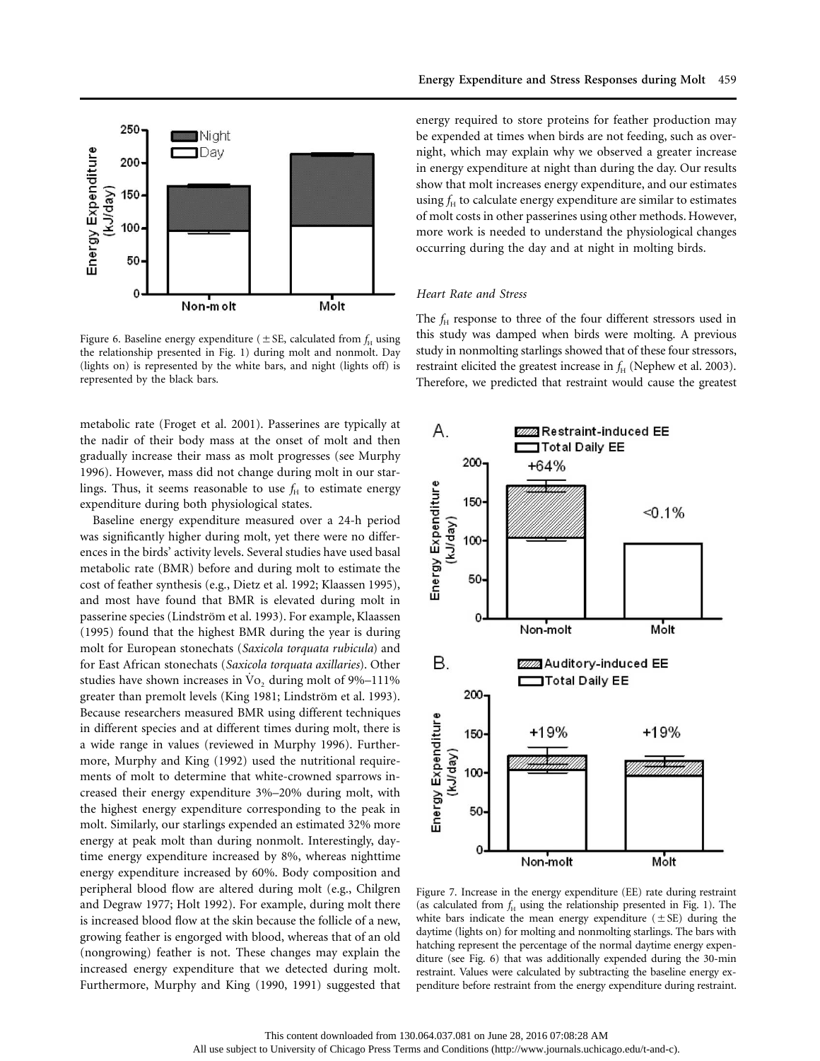

Figure 6. Baseline energy expenditure ( $\pm$  SE, calculated from  $f_H$  using the relationship presented in Fig. 1) during molt and nonmolt. Day (lights on) is represented by the white bars, and night (lights off) is represented by the black bars.

metabolic rate (Froget et al. 2001). Passerines are typically at the nadir of their body mass at the onset of molt and then gradually increase their mass as molt progresses (see Murphy 1996). However, mass did not change during molt in our starlings. Thus, it seems reasonable to use  $f<sub>H</sub>$  to estimate energy expenditure during both physiological states.

Baseline energy expenditure measured over a 24-h period was significantly higher during molt, yet there were no differences in the birds' activity levels. Several studies have used basal metabolic rate (BMR) before and during molt to estimate the cost of feather synthesis (e.g., Dietz et al. 1992; Klaassen 1995), and most have found that BMR is elevated during molt in passerine species (Lindström et al. 1993). For example, Klaassen (1995) found that the highest BMR during the year is during molt for European stonechats (*Saxicola torquata rubicula*) and for East African stonechats (*Saxicola torquata axillaries*). Other studies have shown increases in  $\overline{V}o$ , during molt of 9%–111% greater than premolt levels (King 1981; Lindström et al. 1993). Because researchers measured BMR using different techniques in different species and at different times during molt, there is a wide range in values (reviewed in Murphy 1996). Furthermore, Murphy and King (1992) used the nutritional requirements of molt to determine that white-crowned sparrows increased their energy expenditure 3%–20% during molt, with the highest energy expenditure corresponding to the peak in molt. Similarly, our starlings expended an estimated 32% more energy at peak molt than during nonmolt. Interestingly, daytime energy expenditure increased by 8%, whereas nighttime energy expenditure increased by 60%. Body composition and peripheral blood flow are altered during molt (e.g., Chilgren and Degraw 1977; Holt 1992). For example, during molt there is increased blood flow at the skin because the follicle of a new, growing feather is engorged with blood, whereas that of an old (nongrowing) feather is not. These changes may explain the increased energy expenditure that we detected during molt. Furthermore, Murphy and King (1990, 1991) suggested that

energy required to store proteins for feather production may be expended at times when birds are not feeding, such as overnight, which may explain why we observed a greater increase in energy expenditure at night than during the day. Our results show that molt increases energy expenditure, and our estimates using  $f_H$  to calculate energy expenditure are similar to estimates of molt costs in other passerines using other methods. However, more work is needed to understand the physiological changes occurring during the day and at night in molting birds.

# *Heart Rate and Stress*

The  $f_{\rm H}$  response to three of the four different stressors used in this study was damped when birds were molting. A previous study in nonmolting starlings showed that of these four stressors, restraint elicited the greatest increase in  $f_H$  (Nephew et al. 2003). Therefore, we predicted that restraint would cause the greatest



Figure 7. Increase in the energy expenditure (EE) rate during restraint (as calculated from  $f_H$  using the relationship presented in Fig. 1). The white bars indicate the mean energy expenditure  $(\pm SE)$  during the daytime (lights on) for molting and nonmolting starlings. The bars with hatching represent the percentage of the normal daytime energy expenditure (see Fig. 6) that was additionally expended during the 30-min restraint. Values were calculated by subtracting the baseline energy expenditure before restraint from the energy expenditure during restraint.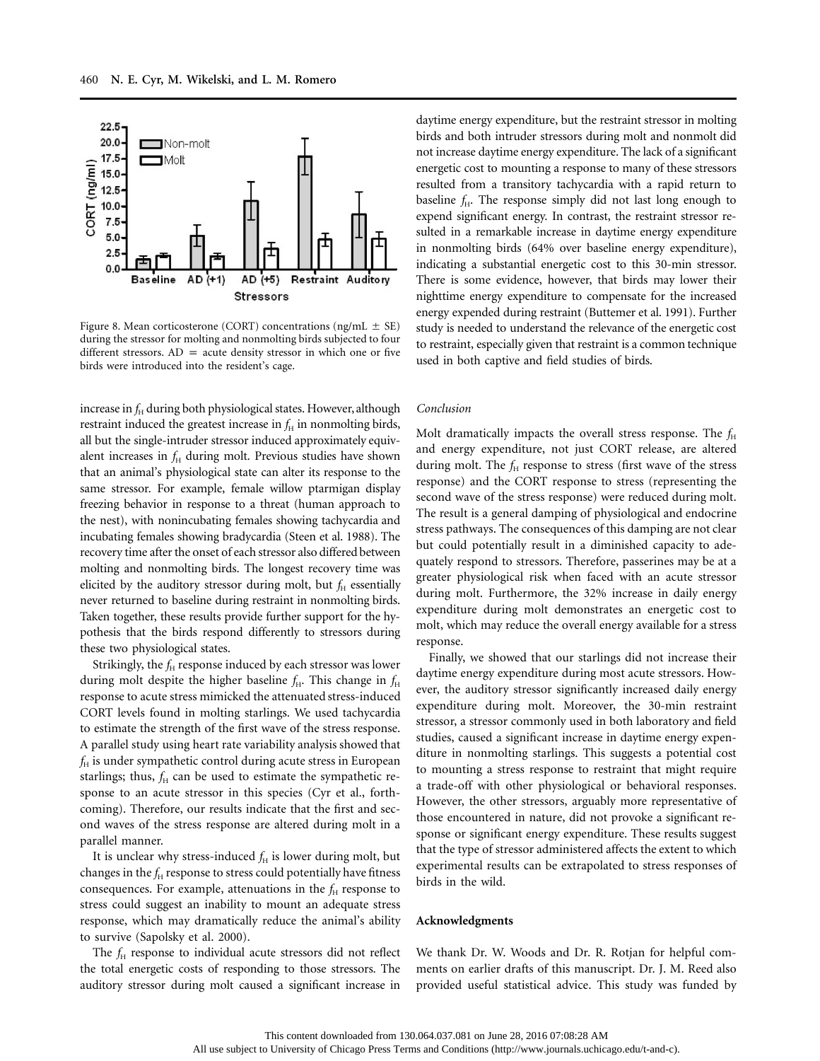

Figure 8. Mean corticosterone (CORT) concentrations (ng/mL  $\pm$  SE) during the stressor for molting and nonmolting birds subjected to four different stressors.  $AD =$  acute density stressor in which one or five birds were introduced into the resident's cage.

increase in  $f_H$  during both physiological states. However, although restraint induced the greatest increase in  $f_H$  in nonmolting birds, all but the single-intruder stressor induced approximately equivalent increases in  $f_H$  during molt. Previous studies have shown that an animal's physiological state can alter its response to the same stressor. For example, female willow ptarmigan display freezing behavior in response to a threat (human approach to the nest), with nonincubating females showing tachycardia and incubating females showing bradycardia (Steen et al. 1988). The recovery time after the onset of each stressor also differed between molting and nonmolting birds. The longest recovery time was elicited by the auditory stressor during molt, but  $f_H$  essentially never returned to baseline during restraint in nonmolting birds. Taken together, these results provide further support for the hypothesis that the birds respond differently to stressors during these two physiological states.

Strikingly, the  $f_H$  response induced by each stressor was lower during molt despite the higher baseline  $f_H$ . This change in  $f_H$ response to acute stress mimicked the attenuated stress-induced CORT levels found in molting starlings. We used tachycardia to estimate the strength of the first wave of the stress response. A parallel study using heart rate variability analysis showed that  $f_H$  is under sympathetic control during acute stress in European starlings; thus,  $f_H$  can be used to estimate the sympathetic response to an acute stressor in this species (Cyr et al., forthcoming). Therefore, our results indicate that the first and second waves of the stress response are altered during molt in a parallel manner.

It is unclear why stress-induced  $f_H$  is lower during molt, but changes in the  $f_H$  response to stress could potentially have fitness consequences. For example, attenuations in the  $f<sub>H</sub>$  response to stress could suggest an inability to mount an adequate stress response, which may dramatically reduce the animal's ability to survive (Sapolsky et al. 2000).

The  $f<sub>H</sub>$  response to individual acute stressors did not reflect the total energetic costs of responding to those stressors. The auditory stressor during molt caused a significant increase in

daytime energy expenditure, but the restraint stressor in molting birds and both intruder stressors during molt and nonmolt did not increase daytime energy expenditure. The lack of a significant energetic cost to mounting a response to many of these stressors resulted from a transitory tachycardia with a rapid return to baseline  $f_H$ . The response simply did not last long enough to expend significant energy. In contrast, the restraint stressor resulted in a remarkable increase in daytime energy expenditure in nonmolting birds (64% over baseline energy expenditure), indicating a substantial energetic cost to this 30-min stressor. There is some evidence, however, that birds may lower their nighttime energy expenditure to compensate for the increased energy expended during restraint (Buttemer et al. 1991). Further study is needed to understand the relevance of the energetic cost to restraint, especially given that restraint is a common technique used in both captive and field studies of birds.

## *Conclusion*

Molt dramatically impacts the overall stress response. The  $f_H$ and energy expenditure, not just CORT release, are altered during molt. The  $f_H$  response to stress (first wave of the stress response) and the CORT response to stress (representing the second wave of the stress response) were reduced during molt. The result is a general damping of physiological and endocrine stress pathways. The consequences of this damping are not clear but could potentially result in a diminished capacity to adequately respond to stressors. Therefore, passerines may be at a greater physiological risk when faced with an acute stressor during molt. Furthermore, the 32% increase in daily energy expenditure during molt demonstrates an energetic cost to molt, which may reduce the overall energy available for a stress response.

Finally, we showed that our starlings did not increase their daytime energy expenditure during most acute stressors. However, the auditory stressor significantly increased daily energy expenditure during molt. Moreover, the 30-min restraint stressor, a stressor commonly used in both laboratory and field studies, caused a significant increase in daytime energy expenditure in nonmolting starlings. This suggests a potential cost to mounting a stress response to restraint that might require a trade-off with other physiological or behavioral responses. However, the other stressors, arguably more representative of those encountered in nature, did not provoke a significant response or significant energy expenditure. These results suggest that the type of stressor administered affects the extent to which experimental results can be extrapolated to stress responses of birds in the wild.

#### **Acknowledgments**

We thank Dr. W. Woods and Dr. R. Rotjan for helpful comments on earlier drafts of this manuscript. Dr. J. M. Reed also provided useful statistical advice. This study was funded by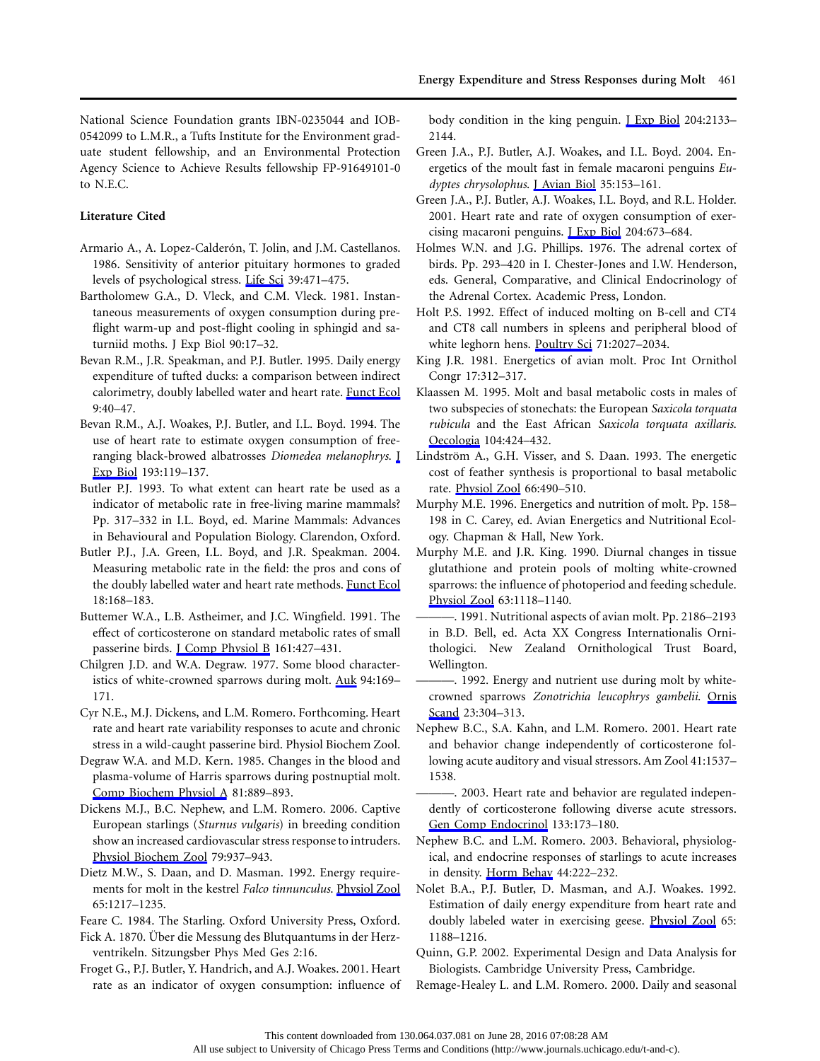National Science Foundation grants IBN-0235044 and IOB-0542099 to L.M.R., a Tufts Institute for the Environment graduate student fellowship, and an Environmental Protection Agency Science to Achieve Results fellowship FP-91649101-0 to N.E.C.

# **Literature Cited**

- Armario A., A. Lopez-Calderón, T. Jolin, and J.M. Castellanos. 1986. Sensitivity of anterior pituitary hormones to graded levels of psychological stress. [Life Sci](http://www.journals.uchicago.edu/action/showLinks?pmid=3090393&crossref=10.1016%2F0024-3205%2886%2990527-8) 39:471–475.
- Bartholomew G.A., D. Vleck, and C.M. Vleck. 1981. Instantaneous measurements of oxygen consumption during preflight warm-up and post-flight cooling in sphingid and saturniid moths. J Exp Biol 90:17–32.
- Bevan R.M., J.R. Speakman, and P.J. Butler. 1995. Daily energy expenditure of tufted ducks: a comparison between indirect calorimetry, doubly labelled water and heart rate. [Funct Ecol](http://www.journals.uchicago.edu/action/showLinks?crossref=10.2307%2F2390088) 9:40–47.
- Bevan R.M., A.J. Woakes, P.J. Butler, and I.L. Boyd. 1994. The use of heart rate to estimate oxygen consumption of freeranging black-browed albatrosses *Diomedea melanophrys*. [J](http://www.journals.uchicago.edu/action/showLinks?pmid=9317461) [Exp Biol](http://www.journals.uchicago.edu/action/showLinks?pmid=9317461) 193:119–137.
- Butler P.J. 1993. To what extent can heart rate be used as a indicator of metabolic rate in free-living marine mammals? Pp. 317–332 in I.L. Boyd, ed. Marine Mammals: Advances in Behavioural and Population Biology. Clarendon, Oxford.
- Butler P.J., J.A. Green, I.L. Boyd, and J.R. Speakman. 2004. Measuring metabolic rate in the field: the pros and cons of the doubly labelled water and heart rate methods. [Funct Ecol](http://www.journals.uchicago.edu/action/showLinks?crossref=10.1111%2Fj.0269-8463.2004.00821.x) 18:168–183.
- Buttemer W.A., L.B. Astheimer, and J.C. Wingfield. 1991. The effect of corticosterone on standard metabolic rates of small passerine birds. *I Comp Physiol B* 161:427-431.
- Chilgren J.D. and W.A. Degraw. 1977. Some blood characteristics of white-crowned sparrows during molt. [Auk](http://www.journals.uchicago.edu/action/showLinks?crossref=10.2307%2F4085264) 94:169– 171.
- Cyr N.E., M.J. Dickens, and L.M. Romero. Forthcoming. Heart rate and heart rate variability responses to acute and chronic stress in a wild-caught passerine bird. Physiol Biochem Zool.
- Degraw W.A. and M.D. Kern. 1985. Changes in the blood and plasma-volume of Harris sparrows during postnuptial molt. [Comp Biochem Physiol A](http://www.journals.uchicago.edu/action/showLinks?pmid=2863078&crossref=10.1016%2F0300-9629%2885%2990925-9) 81:889–893.
- Dickens M.J., B.C. Nephew, and L.M. Romero. 2006. Captive European starlings (*Sturnus vulgaris*) in breeding condition show an increased cardiovascular stress response to intruders. [Physiol Biochem Zool](http://www.journals.uchicago.edu/action/showLinks?system=10.1086%2F506007) 79:937–943.
- Dietz M.W., S. Daan, and D. Masman. 1992. Energy requirements for molt in the kestrel *Falco tinnunculus*. [Physiol Zool](http://www.journals.uchicago.edu/action/showLinks?system=10.1086%2Fphyszool.65.6.30158276) 65:1217–1235.
- Feare C. 1984. The Starling. Oxford University Press, Oxford.
- Fick A. 1870. Über die Messung des Blutquantums in der Herzventrikeln. Sitzungsber Phys Med Ges 2:16.
- Froget G., P.J. Butler, Y. Handrich, and A.J. Woakes. 2001. Heart rate as an indicator of oxygen consumption: influence of

body condition in the king penguin. **J Exp Biol** 204:2133-2144.

- Green J.A., P.J. Butler, A.J. Woakes, and I.L. Boyd. 2004. Energetics of the moult fast in female macaroni penguins *Eudyptes chrysolophus*. [J Avian Biol](http://www.journals.uchicago.edu/action/showLinks?crossref=10.1111%2Fj.0908-8857.2004.03138.x) 35:153–161.
- Green J.A., P.J. Butler, A.J. Woakes, I.L. Boyd, and R.L. Holder. 2001. Heart rate and rate of oxygen consumption of exercising macaroni penguins. [J Exp Biol](http://www.journals.uchicago.edu/action/showLinks?pmid=11171349) 204:673–684.
- Holmes W.N. and J.G. Phillips. 1976. The adrenal cortex of birds. Pp. 293–420 in I. Chester-Jones and I.W. Henderson, eds. General, Comparative, and Clinical Endocrinology of the Adrenal Cortex. Academic Press, London.
- Holt P.S. 1992. Effect of induced molting on B-cell and CT4 and CT8 call numbers in spleens and peripheral blood of white leghorn hens. [Poultry Sci](http://www.journals.uchicago.edu/action/showLinks?pmid=1361673&crossref=10.3382%2Fps.0712027) 71:2027-2034.
- King J.R. 1981. Energetics of avian molt. Proc Int Ornithol Congr 17:312–317.
- Klaassen M. 1995. Molt and basal metabolic costs in males of two subspecies of stonechats: the European *Saxicola torquata rubicula* and the East African *Saxicola torquata axillaris*. [Oecologia](http://www.journals.uchicago.edu/action/showLinks?crossref=10.1007%2FBF00341339) 104:424–432.
- Lindström A., G.H. Visser, and S. Daan. 1993. The energetic cost of feather synthesis is proportional to basal metabolic rate. [Physiol Zool](http://www.journals.uchicago.edu/action/showLinks?system=10.1086%2Fphyszool.66.4.30163805) 66:490–510.
- Murphy M.E. 1996. Energetics and nutrition of molt. Pp. 158– 198 in C. Carey, ed. Avian Energetics and Nutritional Ecology. Chapman & Hall, New York.
- Murphy M.E. and J.R. King. 1990. Diurnal changes in tissue glutathione and protein pools of molting white-crowned sparrows: the influence of photoperiod and feeding schedule. [Physiol Zool](http://www.journals.uchicago.edu/action/showLinks?system=10.1086%2Fphyszool.63.6.30152636) 63:1118–1140.
- ———. 1991. Nutritional aspects of avian molt. Pp. 2186–2193 in B.D. Bell, ed. Acta XX Congress Internationalis Ornithologici. New Zealand Ornithological Trust Board, Wellington.
- -. 1992. Energy and nutrient use during molt by whitecrowned sparrows *Zonotrichia leucophrys gambelii*. [Ornis](http://www.journals.uchicago.edu/action/showLinks?crossref=10.2307%2F3676654) [Scand](http://www.journals.uchicago.edu/action/showLinks?crossref=10.2307%2F3676654) 23:304–313.
- Nephew B.C., S.A. Kahn, and L.M. Romero. 2001. Heart rate and behavior change independently of corticosterone following acute auditory and visual stressors. Am Zool 41:1537– 1538.
- -. 2003. Heart rate and behavior are regulated independently of corticosterone following diverse acute stressors. [Gen Comp Endocrinol](http://www.journals.uchicago.edu/action/showLinks?pmid=12928007&crossref=10.1016%2FS0016-6480%2803%2900165-5) 133:173–180.
- Nephew B.C. and L.M. Romero. 2003. Behavioral, physiological, and endocrine responses of starlings to acute increases in density. [Horm Behav](http://www.journals.uchicago.edu/action/showLinks?pmid=14609544&crossref=10.1016%2Fj.yhbeh.2003.06.002) 44:222–232.
- Nolet B.A., P.J. Butler, D. Masman, and A.J. Woakes. 1992. Estimation of daily energy expenditure from heart rate and doubly labeled water in exercising geese. [Physiol Zool](http://www.journals.uchicago.edu/action/showLinks?system=10.1086%2Fphyszool.65.6.30158275) 65: 1188–1216.
- Quinn, G.P. 2002. Experimental Design and Data Analysis for Biologists. Cambridge University Press, Cambridge.
- Remage-Healey L. and L.M. Romero. 2000. Daily and seasonal